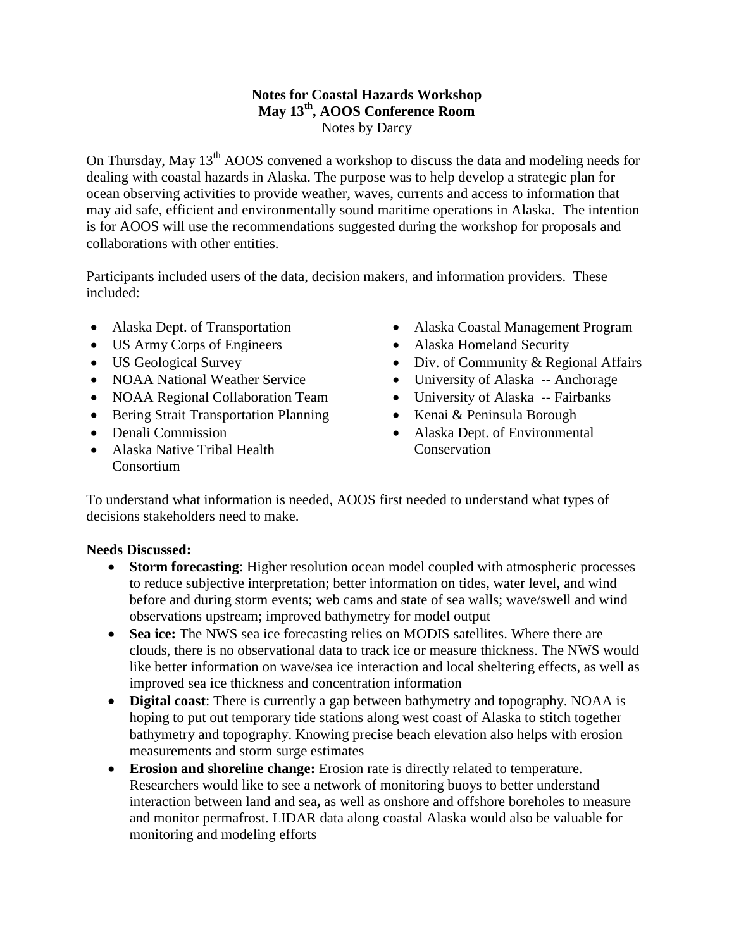## **Notes for Coastal Hazards Workshop May 13th, AOOS Conference Room** Notes by Darcy

On Thursday, May 13<sup>th</sup> AOOS convened a workshop to discuss the data and modeling needs for dealing with coastal hazards in Alaska. The purpose was to help develop a strategic plan for ocean observing activities to provide weather, waves, currents and access to information that may aid safe, efficient and environmentally sound maritime operations in Alaska. The intention is for AOOS will use the recommendations suggested during the workshop for proposals and collaborations with other entities.

Participants included users of the data, decision makers, and information providers. These included:

- Alaska Dept. of Transportation
- US Army Corps of Engineers
- US Geological Survey
- NOAA National Weather Service
- NOAA Regional Collaboration Team
- Bering Strait Transportation Planning
- Denali Commission
- Alaska Native Tribal Health Consortium
- Alaska Coastal Management Program
- Alaska Homeland Security
- Div. of Community & Regional Affairs
- University of Alaska -- Anchorage
- University of Alaska -- Fairbanks
- Kenai & Peninsula Borough
- Alaska Dept. of Environmental Conservation

To understand what information is needed, AOOS first needed to understand what types of decisions stakeholders need to make.

## **Needs Discussed:**

- **Storm forecasting**: Higher resolution ocean model coupled with atmospheric processes to reduce subjective interpretation; better information on tides, water level, and wind before and during storm events; web cams and state of sea walls; wave/swell and wind observations upstream; improved bathymetry for model output
- **Sea ice:** The NWS sea ice forecasting relies on MODIS satellites. Where there are clouds, there is no observational data to track ice or measure thickness. The NWS would like better information on wave/sea ice interaction and local sheltering effects, as well as improved sea ice thickness and concentration information
- **Digital coast**: There is currently a gap between bathymetry and topography. NOAA is hoping to put out temporary tide stations along west coast of Alaska to stitch together bathymetry and topography. Knowing precise beach elevation also helps with erosion measurements and storm surge estimates
- **Erosion and shoreline change:** Erosion rate is directly related to temperature. Researchers would like to see a network of monitoring buoys to better understand interaction between land and sea**,** as well as onshore and offshore boreholes to measure and monitor permafrost. LIDAR data along coastal Alaska would also be valuable for monitoring and modeling efforts